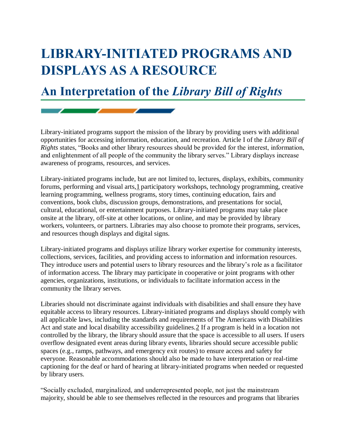## **LIBRARY-INITIATED PROGRAMS AND DISPLAYS AS A RESOURCE**

## **An Interpretation of the** *Library Bill of Rights*

Library-initiated programs support the mission of the library by providing users with additional opportunities for accessing information, education, and recreation. Article I of the *Library Bill of Rights* states, "Books and other library resources should be provided for the interest, information, and enlightenment of all people of the community the library serves." Library displays increase awareness of programs, resources, and services.

Library-initiated programs include, but are not limited to, lectures, displays, exhibits, community forums, performing and visual arts, 1 participatory workshops, technology programming, creative learning programming, wellness programs, story times, continuing education, fairs and conventions, book clubs, discussion groups, demonstrations, and presentations for social, cultural, educational, or entertainment purposes. Library-initiated programs may take place onsite at the library, off-site at other locations, or online, and may be provided by library workers, volunteers, or partners. Libraries may also choose to promote their programs, services, and resources though displays and digital signs.

Library-initiated programs and displays utilize library worker expertise for community interests, collections, services, facilities, and providing access to information and information resources. They introduce users and potential users to library resources and the library's role as a facilitator of information access. The library may participate in cooperative or joint programs with other agencies, organizations, institutions, or individuals to facilitate information access in the community the library serves.

Libraries should not discriminate against individuals with disabilities and shall ensure they have equitable access to library resources. Library-initiated programs and displays should comply with all applicable laws, including the standards and requirements of The Americans with Disabilities Act and state and local disability accessibility guidelines[.2](http://www.ala.org/advocacy/intfreedom/librarybill/interpretations/programsdisplays#End%20Notes) If a program is held in a location not controlled by the library, the library should assure that the space is accessible to all users. If users overflow designated event areas during library events, libraries should secure accessible public spaces (e.g., ramps, pathways, and emergency exit routes) to ensure access and safety for everyone. Reasonable accommodations should also be made to have interpretation or real-time captioning for the deaf or hard of hearing at library-initiated programs when needed or requested by library users.

"Socially excluded, marginalized, and underrepresented people, not just the mainstream majority, should be able to see themselves reflected in the resources and programs that libraries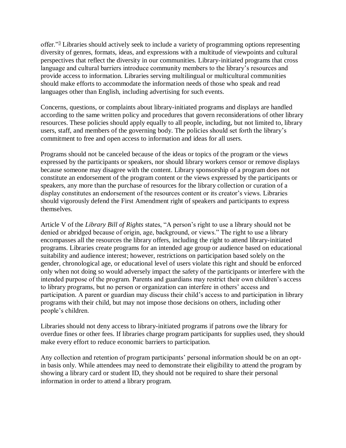offer."<sup>[3](http://www.ala.org/advocacy/intfreedom/librarybill/interpretations/programsdisplays#End%20Notes)</sup> Libraries should actively seek to include a variety of programming options representing diversity of genres, formats, ideas, and expressions with a multitude of viewpoints and cultural perspectives that reflect the diversity in our communities. Library-initiated programs that cross language and cultural barriers introduce community members to the library's resources and provide access to information. Libraries serving multilingual or multicultural communities should make efforts to accommodate the information needs of those who speak and read languages other than English, including advertising for such events.

Concerns, questions, or complaints about library-initiated programs and displays are handled according to the same written policy and procedures that govern reconsiderations of other library resources. These policies should apply equally to all people, including, but not limited to, library users, staff, and members of the governing body. The policies should set forth the library's commitment to free and open access to information and ideas for all users.

Programs should not be canceled because of the ideas or topics of the program or the views expressed by the participants or speakers, nor should library workers censor or remove displays because someone may disagree with the content. Library sponsorship of a program does not constitute an endorsement of the program content or the views expressed by the participants or speakers, any more than the purchase of resources for the library collection or curation of a display constitutes an endorsement of the resources content or its creator's views. Libraries should vigorously defend the First Amendment right of speakers and participants to express themselves.

Article V of the *Library Bill of Rights* states, "A person's right to use a library should not be denied or abridged because of origin, age, background, or views." The right to use a library encompasses all the resources the library offers, including the right to attend library-initiated programs. Libraries create programs for an intended age group or audience based on educational suitability and audience interest; however, restrictions on participation based solely on the gender, chronological age, or educational level of users violate this right and should be enforced only when not doing so would adversely impact the safety of the participants or interfere with the intended purpose of the program. Parents and guardians may restrict their own children's access to library programs, but no person or organization can interfere in others' access and participation. A parent or guardian may discuss their child's access to and participation in library programs with their child, but may not impose those decisions on others, including other people's children.

Libraries should not deny access to library-initiated programs if patrons owe the library for overdue fines or other fees. If libraries charge program participants for supplies used, they should make every effort to reduce economic barriers to participation.

Any collection and retention of program participants' personal information should be on an optin basis only. While attendees may need to demonstrate their eligibility to attend the program by showing a library card or student ID, they should not be required to share their personal information in order to attend a library program.